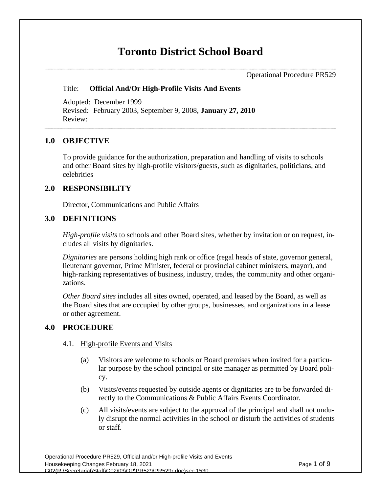# **Toronto District School Board**

Operational Procedure PR529

### Title: **Official And/Or High-Profile Visits And Events**

Adopted: December 1999 Revised: February 2003, September 9, 2008, **January 27, 2010** Review:

## **1.0 OBJECTIVE**

To provide guidance for the authorization, preparation and handling of visits to schools and other Board sites by high-profile visitors/guests, such as dignitaries, politicians, and celebrities

## **2.0 RESPONSIBILITY**

Director, Communications and Public Affairs

# **3.0 DEFINITIONS**

*High-profile visits* to schools and other Board sites, whether by invitation or on request, includes all visits by dignitaries.

*Dignitaries* are persons holding high rank or office (regal heads of state, governor general, lieutenant governor, Prime Minister, federal or provincial cabinet ministers, mayor), and high-ranking representatives of business, industry, trades, the community and other organizations.

*Other Board sites* includes all sites owned, operated, and leased by the Board, as well as the Board sites that are occupied by other groups, businesses, and organizations in a lease or other agreement.

## **4.0 PROCEDURE**

## 4.1. High-profile Events and Visits

- (a) Visitors are welcome to schools or Board premises when invited for a particular purpose by the school principal or site manager as permitted by Board policy.
- (b) Visits/events requested by outside agents or dignitaries are to be forwarded directly to the Communications & Public Affairs Events Coordinator.
- (c) All visits/events are subject to the approval of the principal and shall not unduly disrupt the normal activities in the school or disturb the activities of students or staff.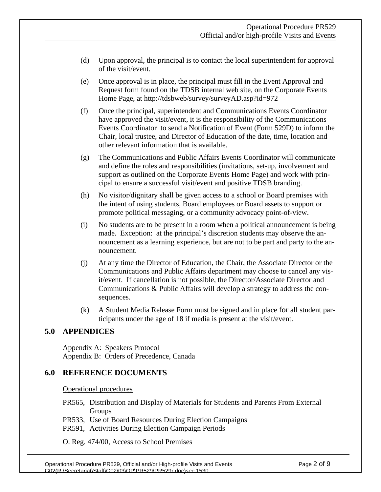- (d) Upon approval, the principal is to contact the local superintendent for approval of the visit/event.
- (e) Once approval is in place, the principal must fill in the Event Approval and Request form found on the TDSB internal web site, on the Corporate Events Home Page, at<http://tdsbweb/survey/surveyAD.asp?id=972>
- (f) Once the principal, superintendent and Communications Events Coordinator have approved the visit/event, it is the responsibility of the Communications Events Coordinator to send a Notification of Event (Form 529D) to inform the Chair, local trustee, and Director of Education of the date, time, location and other relevant information that is available.
- (g) The Communications and Public Affairs Events Coordinator will communicate and define the roles and responsibilities (invitations, set-up, involvement and support as outlined on the Corporate Events Home Page) and work with principal to ensure a successful visit/event and positive TDSB branding.
- (h) No visitor/dignitary shall be given access to a school or Board premises with the intent of using students, Board employees or Board assets to support or promote political messaging, or a community advocacy point-of-view.
- (i) No students are to be present in a room when a political announcement is being made. Exception: at the principal's discretion students may observe the announcement as a learning experience, but are not to be part and party to the announcement.
- (j) At any time the Director of Education, the Chair, the Associate Director or the Communications and Public Affairs department may choose to cancel any visit/event. If cancellation is not possible, the Director/Associate Director and Communications & Public Affairs will develop a strategy to address the consequences.
- (k) A Student Media Release Form must be signed and in place for all student participants under the age of 18 if media is present at the visit/event.

## **5.0 APPENDICES**

Appendix A: Speakers Protocol Appendix B: Orders of Precedence, Canada

### **6.0 REFERENCE DOCUMENTS**

Operational procedures

- PR565, Distribution and Display of Materials for Students and Parents From External Groups
- PR533, Use of Board Resources During Election Campaigns
- PR591, Activities During Election Campaign Periods

O. Reg. 474/00, Access to School Premises

Operational Procedure PR529, Official and/or High-profile Visits and Events Page 2 of 9 G02(R:\Secretariat\Staff\G02\03\OP\PR529\PR529r.doc)sec.1530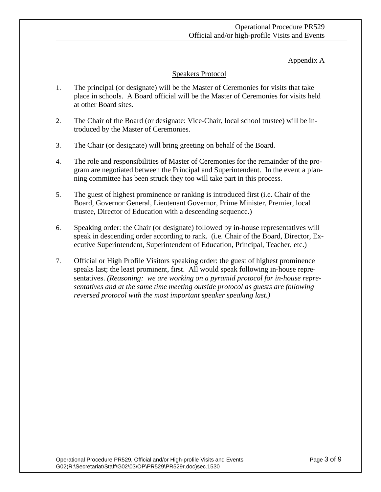Appendix A

## Speakers Protocol

- 1. The principal (or designate) will be the Master of Ceremonies for visits that take place in schools. A Board official will be the Master of Ceremonies for visits held at other Board sites.
- 2. The Chair of the Board (or designate: Vice-Chair, local school trustee) will be introduced by the Master of Ceremonies.
- 3. The Chair (or designate) will bring greeting on behalf of the Board.
- 4. The role and responsibilities of Master of Ceremonies for the remainder of the program are negotiated between the Principal and Superintendent. In the event a planning committee has been struck they too will take part in this process.
- 5. The guest of highest prominence or ranking is introduced first (i.e. Chair of the Board, Governor General, Lieutenant Governor, Prime Minister, Premier, local trustee, Director of Education with a descending sequence.)
- 6. Speaking order: the Chair (or designate) followed by in-house representatives will speak in descending order according to rank. (i.e. Chair of the Board, Director, Executive Superintendent, Superintendent of Education, Principal, Teacher, etc.)
- 7. Official or High Profile Visitors speaking order: the guest of highest prominence speaks last; the least prominent, first. All would speak following in-house representatives. *(Reasoning: we are working on a pyramid protocol for in-house representatives and at the same time meeting outside protocol as guests are following reversed protocol with the most important speaker speaking last.)*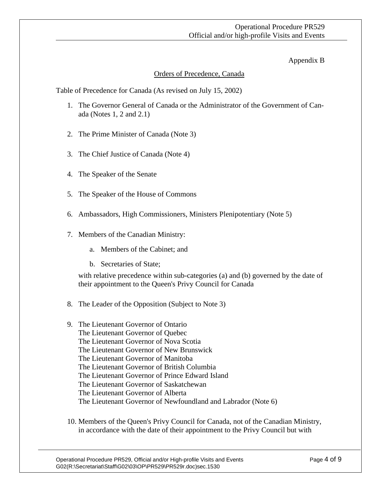## Operational Procedure PR529 Official and/or high-profile Visits and Events

### Appendix B

## Orders of Precedence, Canada

Table of Precedence for Canada (As revised on July 15, 2002)

- 1. The Governor General of Canada or the Administrator of the Government of Canada (Notes 1, 2 and 2.1)
- 2. The Prime Minister of Canada (Note 3)
- 3. The Chief Justice of Canada (Note 4)
- 4. The Speaker of the Senate
- 5. The Speaker of the House of Commons
- 6. Ambassadors, High Commissioners, Ministers Plenipotentiary (Note 5)
- 7. Members of the Canadian Ministry:
	- a. Members of the Cabinet; and
	- b. Secretaries of State;

with relative precedence within sub-categories (a) and (b) governed by the date of their appointment to the Queen's Privy Council for Canada

- 8. The Leader of the Opposition (Subject to Note 3)
- 9. The Lieutenant Governor of Ontario The Lieutenant Governor of Quebec The Lieutenant Governor of Nova Scotia The Lieutenant Governor of New Brunswick The Lieutenant Governor of Manitoba The Lieutenant Governor of British Columbia The Lieutenant Governor of Prince Edward Island The Lieutenant Governor of Saskatchewan The Lieutenant Governor of Alberta The Lieutenant Governor of Newfoundland and Labrador (Note 6)
- 10. Members of the Queen's Privy Council for Canada, not of the Canadian Ministry, in accordance with the date of their appointment to the Privy Council but with

Operational Procedure PR529, Official and/or High-profile Visits and Events Page 4 of 9 G02(R:\Secretariat\Staff\G02\03\OP\PR529\PR529r.doc)sec.1530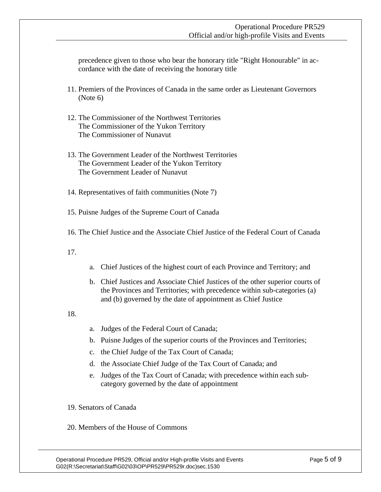precedence given to those who bear the honorary title "Right Honourable" in accordance with the date of receiving the honorary title

- 11. Premiers of the Provinces of Canada in the same order as Lieutenant Governors (Note 6)
- 12. The Commissioner of the Northwest Territories The Commissioner of the Yukon Territory The Commissioner of Nunavut
- 13. The Government Leader of the Northwest Territories The Government Leader of the Yukon Territory The Government Leader of Nunavut
- 14. Representatives of faith communities (Note 7)
- 15. Puisne Judges of the Supreme Court of Canada
- 16. The Chief Justice and the Associate Chief Justice of the Federal Court of Canada
- 17.
- a. Chief Justices of the highest court of each Province and Territory; and
- b. Chief Justices and Associate Chief Justices of the other superior courts of the Provinces and Territories; with precedence within sub-categories (a) and (b) governed by the date of appointment as Chief Justice
- 18.
- a. Judges of the Federal Court of Canada;
- b. Puisne Judges of the superior courts of the Provinces and Territories;
- c. the Chief Judge of the Tax Court of Canada;
- d. the Associate Chief Judge of the Tax Court of Canada; and
- e. Judges of the Tax Court of Canada; with precedence within each subcategory governed by the date of appointment
- 19. Senators of Canada
- 20. Members of the House of Commons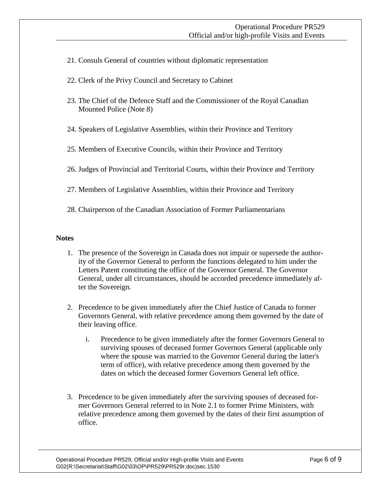- 21. Consuls General of countries without diplomatic representation
- 22. Clerk of the Privy Council and Secretary to Cabinet
- 23. The Chief of the Defence Staff and the Commissioner of the Royal Canadian Mounted Police (Note 8)
- 24. Speakers of Legislative Assemblies, within their Province and Territory
- 25. Members of Executive Councils, within their Province and Territory
- 26. Judges of Provincial and Territorial Courts, within their Province and Territory
- 27. Members of Legislative Assemblies, within their Province and Territory
- 28. Chairperson of the Canadian Association of Former Parliamentarians

#### **Notes**

- 1. The presence of the Sovereign in Canada does not impair or supersede the authority of the Governor General to perform the functions delegated to him under the Letters Patent constituting the office of the Governor General. The Governor General, under all circumstances, should be accorded precedence immediately after the Sovereign.
- 2. Precedence to be given immediately after the Chief Justice of Canada to former Governors General, with relative precedence among them governed by the date of their leaving office.
	- i. Precedence to be given immediately after the former Governors General to surviving spouses of deceased former Governors General (applicable only where the spouse was married to the Governor General during the latter's term of office), with relative precedence among them governed by the dates on which the deceased former Governors General left office.
- 3. Precedence to be given immediately after the surviving spouses of deceased former Governors General referred to in Note 2.1 to former Prime Ministers, with relative precedence among them governed by the dates of their first assumption of office.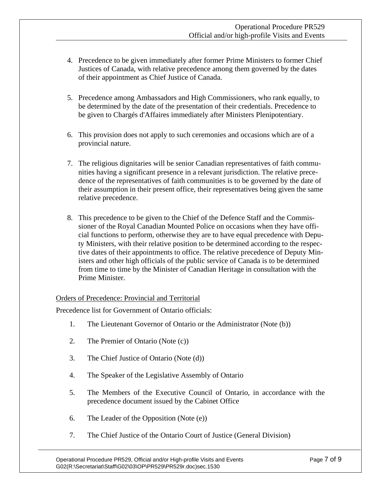- 4. Precedence to be given immediately after former Prime Ministers to former Chief Justices of Canada, with relative precedence among them governed by the dates of their appointment as Chief Justice of Canada.
- 5. Precedence among Ambassadors and High Commissioners, who rank equally, to be determined by the date of the presentation of their credentials. Precedence to be given to Chargés d'Affaires immediately after Ministers Plenipotentiary.
- 6. This provision does not apply to such ceremonies and occasions which are of a provincial nature.
- 7. The religious dignitaries will be senior Canadian representatives of faith communities having a significant presence in a relevant jurisdiction. The relative precedence of the representatives of faith communities is to be governed by the date of their assumption in their present office, their representatives being given the same relative precedence.
- 8. This precedence to be given to the Chief of the Defence Staff and the Commissioner of the Royal Canadian Mounted Police on occasions when they have official functions to perform, otherwise they are to have equal precedence with Deputy Ministers, with their relative position to be determined according to the respective dates of their appointments to office. The relative precedence of Deputy Ministers and other high officials of the public service of Canada is to be determined from time to time by the Minister of Canadian Heritage in consultation with the Prime Minister.

#### Orders of Precedence: Provincial and Territorial

Precedence list for Government of Ontario officials:

- 1. The Lieutenant Governor of Ontario or the Administrator (Note (b))
- 2. The Premier of Ontario (Note (c))
- 3. The Chief Justice of Ontario (Note (d))
- 4. The Speaker of the Legislative Assembly of Ontario
- 5. The Members of the Executive Council of Ontario, in accordance with the precedence document issued by the Cabinet Office
- 6. The Leader of the Opposition (Note (e))
- 7. The Chief Justice of the Ontario Court of Justice (General Division)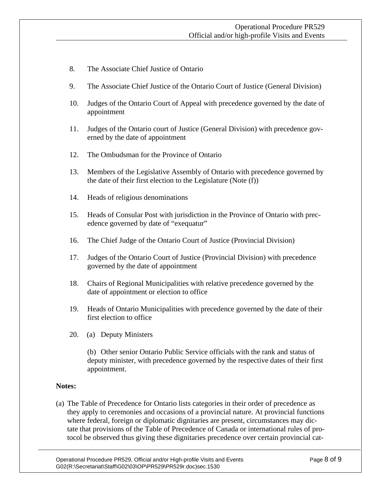- 8. The Associate Chief Justice of Ontario
- 9. The Associate Chief Justice of the Ontario Court of Justice (General Division)
- 10. Judges of the Ontario Court of Appeal with precedence governed by the date of appointment
- 11. Judges of the Ontario court of Justice (General Division) with precedence governed by the date of appointment
- 12. The Ombudsman for the Province of Ontario
- 13. Members of the Legislative Assembly of Ontario with precedence governed by the date of their first election to the Legislature (Note (f))
- 14. Heads of religious denominations
- 15. Heads of Consular Post with jurisdiction in the Province of Ontario with precedence governed by date of "exequatur"
- 16. The Chief Judge of the Ontario Court of Justice (Provincial Division)
- 17. Judges of the Ontario Court of Justice (Provincial Division) with precedence governed by the date of appointment
- 18. Chairs of Regional Municipalities with relative precedence governed by the date of appointment or election to office
- 19. Heads of Ontario Municipalities with precedence governed by the date of their first election to office
- 20. (a) Deputy Ministers

(b) Other senior Ontario Public Service officials with the rank and status of deputy minister, with precedence governed by the respective dates of their first appointment.

### **Notes:**

(a) The Table of Precedence for Ontario lists categories in their order of precedence as they apply to ceremonies and occasions of a provincial nature. At provincial functions where federal, foreign or diplomatic dignitaries are present, circumstances may dictate that provisions of the Table of Precedence of Canada or international rules of protocol be observed thus giving these dignitaries precedence over certain provincial cat